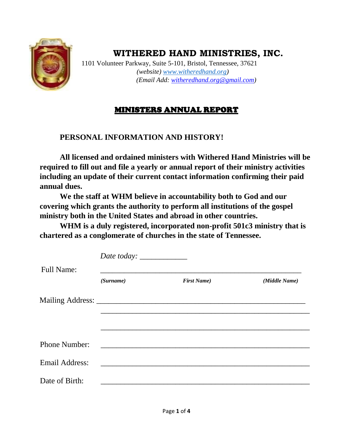

# **WITHERED HAND MINISTRIES, INC.**

 1101 Volunteer Parkway, Suite 5-101, Bristol, Tennessee, 37621  *(website) [www.witheredhand.or](http://www.witheredhand.org/)[g\)](http://www.witheredhandministriesinc.org/)  (Email Add: witheredhand.org@gmail.com)*

## MINISTERS ANNUAL REPORT

### **PERSONAL INFORMATION AND HISTORY!**

**All licensed and ordained ministers with Withered Hand Ministries will be required to fill out and file a yearly or annual report of their ministry activities including an update of their current contact information confirming their paid annual dues.** 

**We the staff at WHM believe in accountability both to God and our covering which grants the authority to perform all institutions of the gospel ministry both in the United States and abroad in other countries.** 

**WHM is a duly registered, incorporated non-profit 501c3 ministry that is chartered as a conglomerate of churches in the state of Tennessee.**

|                       | Date today: _____________ |                                                                  |               |  |  |
|-----------------------|---------------------------|------------------------------------------------------------------|---------------|--|--|
| <b>Full Name:</b>     |                           |                                                                  |               |  |  |
|                       | (Surname)                 | <b>First Name</b> )                                              | (Middle Name) |  |  |
|                       |                           |                                                                  |               |  |  |
|                       |                           |                                                                  |               |  |  |
|                       |                           |                                                                  |               |  |  |
| <b>Phone Number:</b>  |                           | <u> 1980 - Jan James James Barnett, fransk politik (d. 1980)</u> |               |  |  |
| <b>Email Address:</b> |                           |                                                                  |               |  |  |
| Date of Birth:        |                           |                                                                  |               |  |  |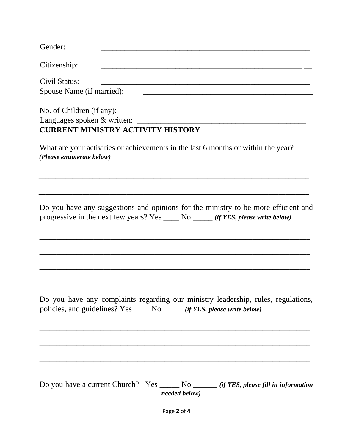| Gender:                                                                                                                                                                    |
|----------------------------------------------------------------------------------------------------------------------------------------------------------------------------|
| Citizenship:<br>the control of the control of the control of the control of the control of the control of                                                                  |
| Civil Status:<br>Spouse Name (if married):                                                                                                                                 |
| No. of Children (if any):<br><u> 1980 - Jan Barnett, fransk politiker (d. 1980)</u><br><b>CURRENT MINISTRY ACTIVITY HISTORY</b>                                            |
| What are your activities or achievements in the last 6 months or within the year?<br>(Please enumerate below)                                                              |
| Do you have any suggestions and opinions for the ministry to be more efficient and<br>progressive in the next few years? Yes ______ No ______ (if YES, please write below) |
| Do you have any complaints regarding our ministry leadership, rules, regulations,<br>policies, and guidelines? Yes ____ No ____ (if YES, please write below)               |
| Do you have a current Church? Yes _______ No _______ (if YES, please fill in information<br>needed below)<br>Page 2 of 4                                                   |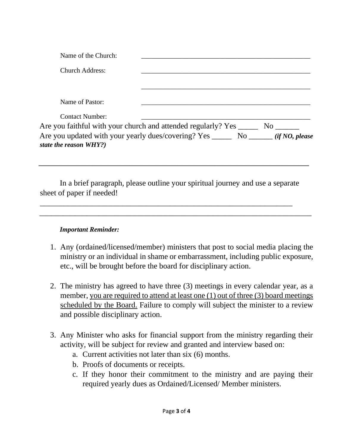| Name of the Church:    |                                                                                        |  |
|------------------------|----------------------------------------------------------------------------------------|--|
| <b>Church Address:</b> |                                                                                        |  |
|                        |                                                                                        |  |
| Name of Pastor:        |                                                                                        |  |
| <b>Contact Number:</b> |                                                                                        |  |
|                        | Are you faithful with your church and attended regularly? Yes _______ No _______       |  |
| state the reason WHY?) | Are you updated with your yearly dues/covering? Yes ________ No _______ (if NO, please |  |
|                        |                                                                                        |  |

In a brief paragraph, please outline your spiritual journey and use a separate sheet of paper if needed!

\_\_\_\_\_\_\_\_\_\_\_\_\_\_\_\_\_\_\_\_\_\_\_\_\_\_\_\_\_\_\_\_\_\_\_\_\_\_\_\_\_\_\_\_\_\_\_\_\_\_\_\_\_\_\_\_\_\_\_\_\_\_\_\_\_\_\_\_\_

\_\_\_\_\_\_\_\_\_\_\_\_\_\_\_\_\_\_\_\_\_\_\_\_\_\_\_\_\_\_\_\_\_\_\_\_\_\_\_\_\_\_\_\_\_\_\_\_\_\_\_\_\_\_\_\_\_\_\_\_\_\_\_\_

#### *Important Reminder:*

- 1. Any (ordained/licensed/member) ministers that post to social media placing the ministry or an individual in shame or embarrassment, including public exposure, etc., will be brought before the board for disciplinary action.
- 2. The ministry has agreed to have three (3) meetings in every calendar year, as a member, you are required to attend at least one (1) out of three (3) board meetings scheduled by the Board. Failure to comply will subject the minister to a review and possible disciplinary action.
- 3. Any Minister who asks for financial support from the ministry regarding their activity, will be subject for review and granted and interview based on:
	- a. Current activities not later than six (6) months.
	- b. Proofs of documents or receipts.
	- c. If they honor their commitment to the ministry and are paying their required yearly dues as Ordained/Licensed/ Member ministers.